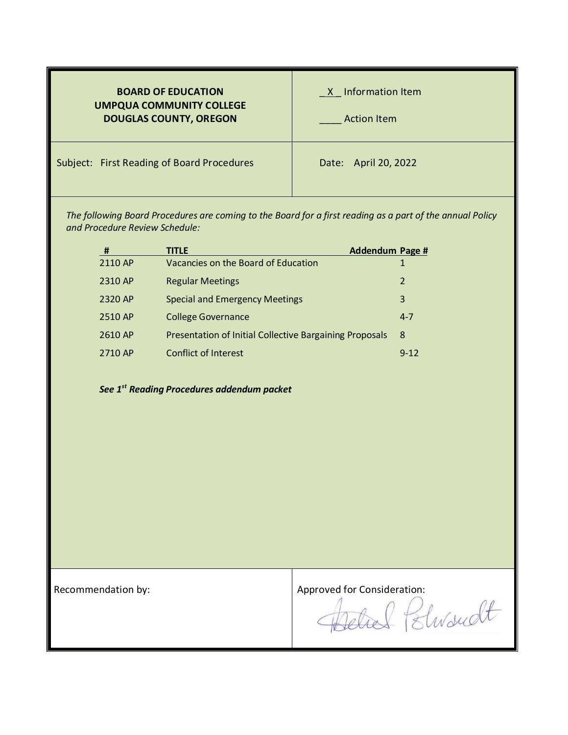| <b>BOARD OF EDUCATION</b><br><b>UMPQUA COMMUNITY COLLEGE</b><br><b>DOUGLAS COUNTY, OREGON</b> | X Information Item<br><b>Action Item</b> |
|-----------------------------------------------------------------------------------------------|------------------------------------------|
| Subject: First Reading of Board Procedures                                                    | Date: April 20, 2022                     |

*The following Board Procedures are coming to the Board for a first reading as a part of the annual Policy and Procedure Review Schedule:*

| #       | <b>TITLE</b>                                            | <b>Addendum Page #</b> |                         |
|---------|---------------------------------------------------------|------------------------|-------------------------|
| 2110 AP | Vacancies on the Board of Education                     |                        |                         |
| 2310 AP | <b>Regular Meetings</b>                                 |                        | $\overline{\mathbf{z}}$ |
| 2320 AP | <b>Special and Emergency Meetings</b>                   |                        | 3                       |
| 2510 AP | <b>College Governance</b>                               |                        | $4 - 7$                 |
| 2610 AP | Presentation of Initial Collective Bargaining Proposals |                        | 8                       |
| 2710 AP | <b>Conflict of Interest</b>                             |                        | $9 - 12$                |

*See 1st Reading Procedures addendum packet*

Recommendation by:<br>Approved for Consideration:<br>Approved for Consideration:<br>Elwardt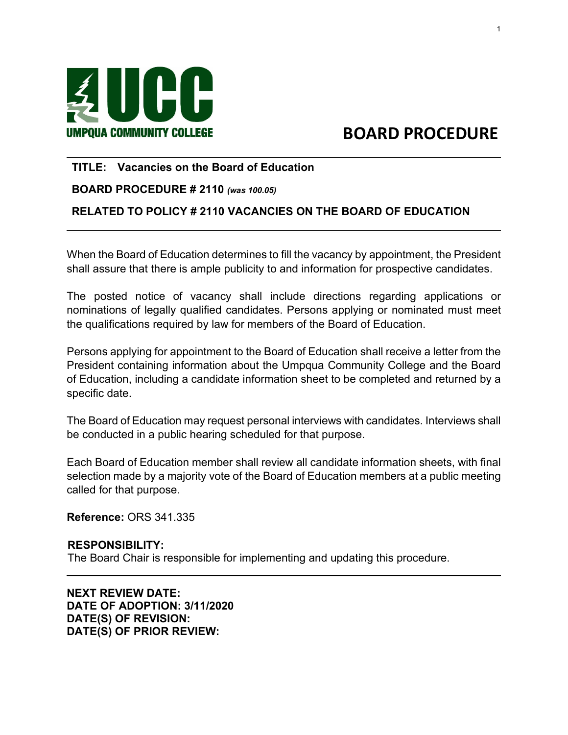

# **BOARD PROCEDURE**

# **TITLE: Vacancies on the Board of Education**

#### **BOARD PROCEDURE # 2110** *(was 100.05)*

# **RELATED TO POLICY # 2110 VACANCIES ON THE BOARD OF EDUCATION**

When the Board of Education determines to fill the vacancy by appointment, the President shall assure that there is ample publicity to and information for prospective candidates.

The posted notice of vacancy shall include directions regarding applications or nominations of legally qualified candidates. Persons applying or nominated must meet the qualifications required by law for members of the Board of Education.

Persons applying for appointment to the Board of Education shall receive a letter from the President containing information about the Umpqua Community College and the Board of Education, including a candidate information sheet to be completed and returned by a specific date.

The Board of Education may request personal interviews with candidates. Interviews shall be conducted in a public hearing scheduled for that purpose.

Each Board of Education member shall review all candidate information sheets, with final selection made by a majority vote of the Board of Education members at a public meeting called for that purpose.

**Reference:** ORS 341.335

#### **RESPONSIBILITY:**

The Board Chair is responsible for implementing and updating this procedure.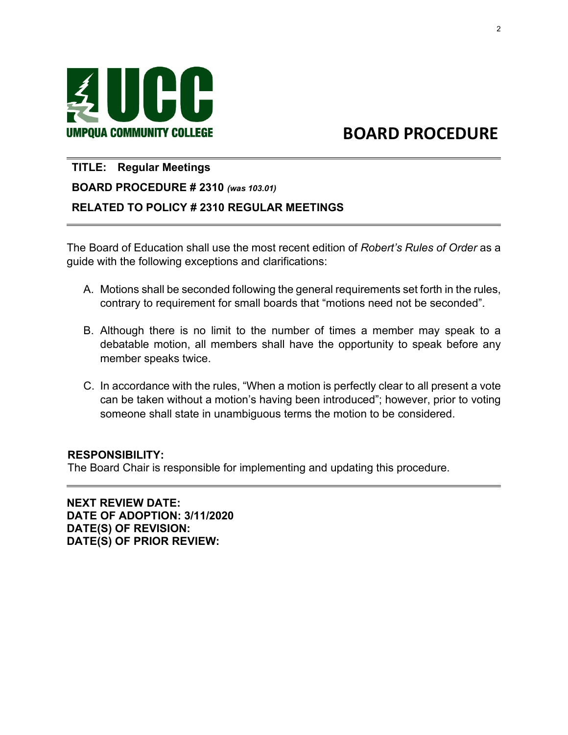

# UMPQUA COMMUNITY COLLEGE BOARD PROCEDURE

#### **TITLE: Regular Meetings**

 $\overline{\phantom{0}}$ 

 $\overline{a}$ 

# **BOARD PROCEDURE # 2310** *(was 103.01)*

## **RELATED TO POLICY # 2310 REGULAR MEETINGS**

The Board of Education shall use the most recent edition of *Robert's Rules of Order* as a guide with the following exceptions and clarifications:

- A. Motions shall be seconded following the general requirements set forth in the rules, contrary to requirement for small boards that "motions need not be seconded".
- B. Although there is no limit to the number of times a member may speak to a debatable motion, all members shall have the opportunity to speak before any member speaks twice.
- C. In accordance with the rules, "When a motion is perfectly clear to all present a vote can be taken without a motion's having been introduced"; however, prior to voting someone shall state in unambiguous terms the motion to be considered.

## **RESPONSIBILITY:**

The Board Chair is responsible for implementing and updating this procedure.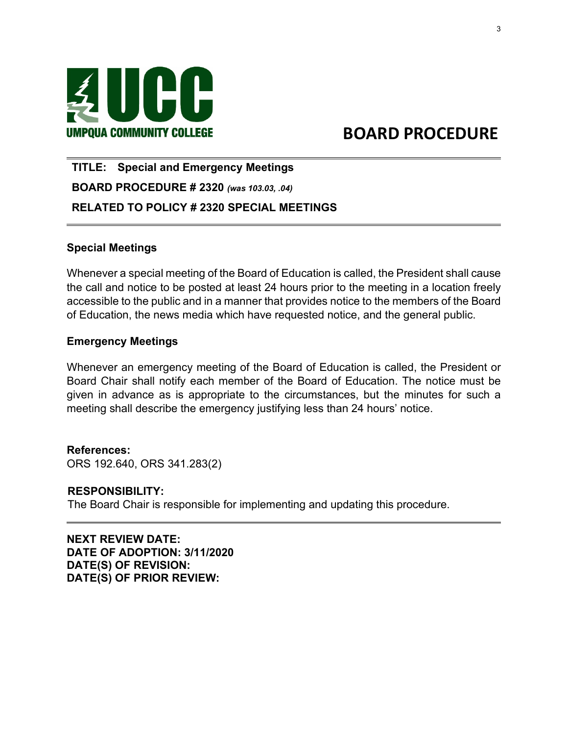

# UMPQUA COMMUNITY COLLEGE BOARD PROCEDURE

**TITLE: Special and Emergency Meetings BOARD PROCEDURE # 2320** *(was 103.03, .04)* **RELATED TO POLICY # 2320 SPECIAL MEETINGS** 

## **Special Meetings**

 $\overline{\phantom{0}}$ 

Whenever a special meeting of the Board of Education is called, the President shall cause the call and notice to be posted at least 24 hours prior to the meeting in a location freely accessible to the public and in a manner that provides notice to the members of the Board of Education, the news media which have requested notice, and the general public.

#### **Emergency Meetings**

Whenever an emergency meeting of the Board of Education is called, the President or Board Chair shall notify each member of the Board of Education. The notice must be given in advance as is appropriate to the circumstances, but the minutes for such a meeting shall describe the emergency justifying less than 24 hours' notice.

**References:**  ORS 192.640, ORS 341.283(2)

#### **RESPONSIBILITY:**

 $\overline{a}$ 

The Board Chair is responsible for implementing and updating this procedure.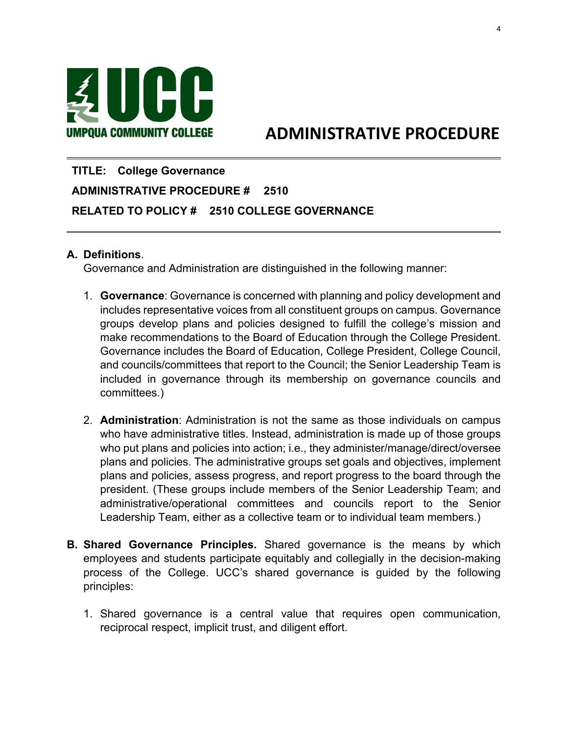

# UMPQUA COMMUNITY COLLEGE ADMINISTRATIVE PROCEDURE

# **TITLE: College Governance ADMINISTRATIVE PROCEDURE # 2510 RELATED TO POLICY # 2510 COLLEGE GOVERNANCE**

#### **A. Definitions**.

 $\overline{a}$ 

 $\overline{\phantom{0}}$ 

Governance and Administration are distinguished in the following manner:

- 1. **Governance**: Governance is concerned with planning and policy development and includes representative voices from all constituent groups on campus. Governance groups develop plans and policies designed to fulfill the college's mission and make recommendations to the Board of Education through the College President. Governance includes the Board of Education, College President, College Council, and councils/committees that report to the Council; the Senior Leadership Team is included in governance through its membership on governance councils and committees.)
- 2. **Administration**: Administration is not the same as those individuals on campus who have administrative titles. Instead, administration is made up of those groups who put plans and policies into action; i.e., they administer/manage/direct/oversee plans and policies. The administrative groups set goals and objectives, implement plans and policies, assess progress, and report progress to the board through the president. (These groups include members of the Senior Leadership Team; and administrative/operational committees and councils report to the Senior Leadership Team, either as a collective team or to individual team members.)
- **B. Shared Governance Principles.** Shared governance is the means by which employees and students participate equitably and collegially in the decision-making process of the College. UCC's shared governance is guided by the following principles:
	- 1. Shared governance is a central value that requires open communication, reciprocal respect, implicit trust, and diligent effort.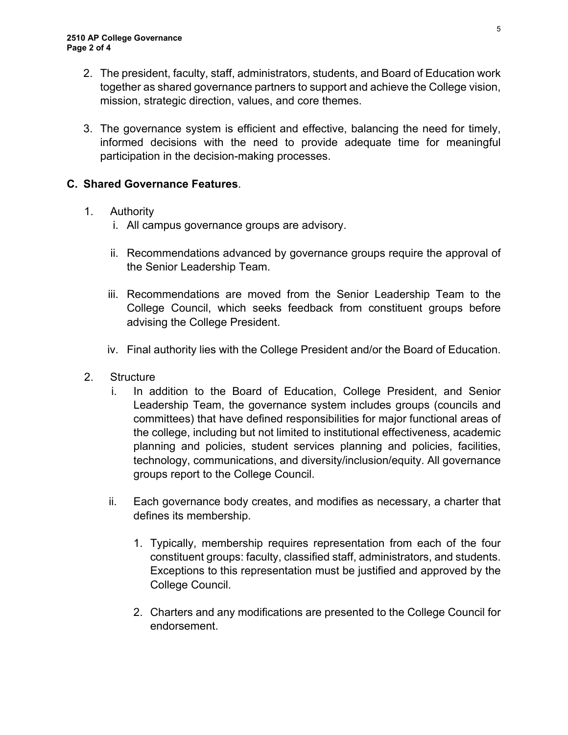- 2. The president, faculty, staff, administrators, students, and Board of Education work together as shared governance partners to support and achieve the College vision, mission, strategic direction, values, and core themes.
- 3. The governance system is efficient and effective, balancing the need for timely, informed decisions with the need to provide adequate time for meaningful participation in the decision-making processes.

# **C. Shared Governance Features**.

# 1. Authority

- i. All campus governance groups are advisory.
- ii. Recommendations advanced by governance groups require the approval of the Senior Leadership Team.
- iii. Recommendations are moved from the Senior Leadership Team to the College Council, which seeks feedback from constituent groups before advising the College President.
- iv. Final authority lies with the College President and/or the Board of Education.
- 2. Structure
	- i. In addition to the Board of Education, College President, and Senior Leadership Team, the governance system includes groups (councils and committees) that have defined responsibilities for major functional areas of the college, including but not limited to institutional effectiveness, academic planning and policies, student services planning and policies, facilities, technology, communications, and diversity/inclusion/equity. All governance groups report to the College Council.
	- ii. Each governance body creates, and modifies as necessary, a charter that defines its membership.
		- 1. Typically, membership requires representation from each of the four constituent groups: faculty, classified staff, administrators, and students. Exceptions to this representation must be justified and approved by the College Council.
		- 2. Charters and any modifications are presented to the College Council for endorsement.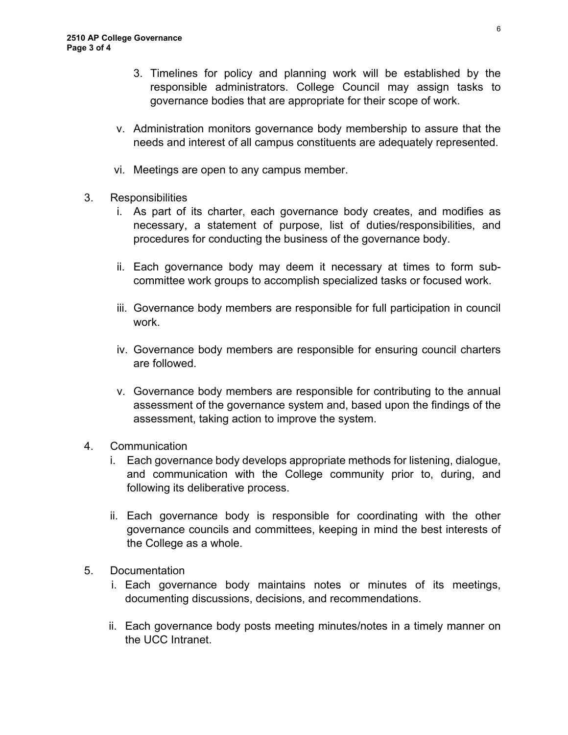- 3. Timelines for policy and planning work will be established by the responsible administrators. College Council may assign tasks to governance bodies that are appropriate for their scope of work.
- v. Administration monitors governance body membership to assure that the needs and interest of all campus constituents are adequately represented.
- vi. Meetings are open to any campus member.
- 3. Responsibilities
	- i. As part of its charter, each governance body creates, and modifies as necessary, a statement of purpose, list of duties/responsibilities, and procedures for conducting the business of the governance body.
	- ii. Each governance body may deem it necessary at times to form subcommittee work groups to accomplish specialized tasks or focused work.
	- iii. Governance body members are responsible for full participation in council work.
	- iv. Governance body members are responsible for ensuring council charters are followed.
	- v. Governance body members are responsible for contributing to the annual assessment of the governance system and, based upon the findings of the assessment, taking action to improve the system.
- 4. Communication
	- i. Each governance body develops appropriate methods for listening, dialogue, and communication with the College community prior to, during, and following its deliberative process.
	- ii. Each governance body is responsible for coordinating with the other governance councils and committees, keeping in mind the best interests of the College as a whole.
- 5. Documentation
	- i. Each governance body maintains notes or minutes of its meetings, documenting discussions, decisions, and recommendations.
	- ii. Each governance body posts meeting minutes/notes in a timely manner on the UCC Intranet.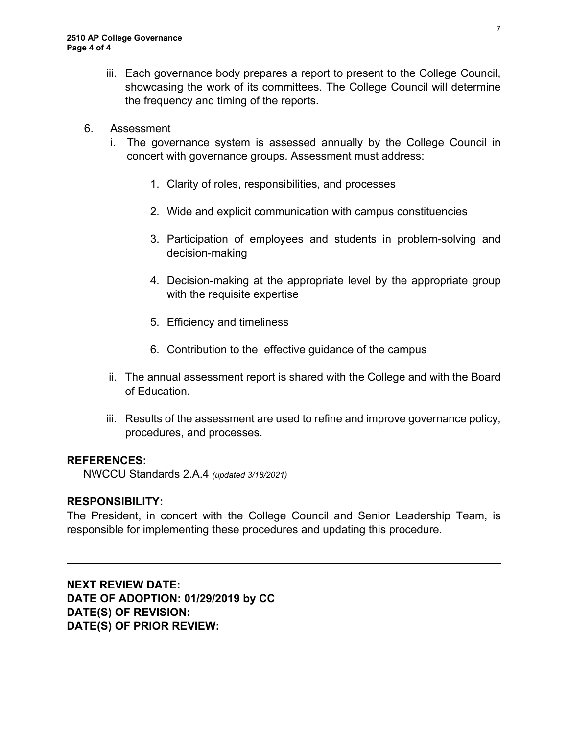- iii. Each governance body prepares a report to present to the College Council, showcasing the work of its committees. The College Council will determine the frequency and timing of the reports.
- 6. Assessment
	- i. The governance system is assessed annually by the College Council in concert with governance groups. Assessment must address:
		- 1. Clarity of roles, responsibilities, and processes
		- 2. Wide and explicit communication with campus constituencies
		- 3. Participation of employees and students in problem-solving and decision-making
		- 4. Decision-making at the appropriate level by the appropriate group with the requisite expertise
		- 5. Efficiency and timeliness
		- 6. Contribution to the effective guidance of the campus
	- ii. The annual assessment report is shared with the College and with the Board of Education.
	- iii. Results of the assessment are used to refine and improve governance policy, procedures, and processes.

## **REFERENCES:**

NWCCU Standards 2.A.4 *(updated 3/18/2021)*

## **RESPONSIBILITY:**

 $\overline{a}$ 

The President, in concert with the College Council and Senior Leadership Team, is responsible for implementing these procedures and updating this procedure.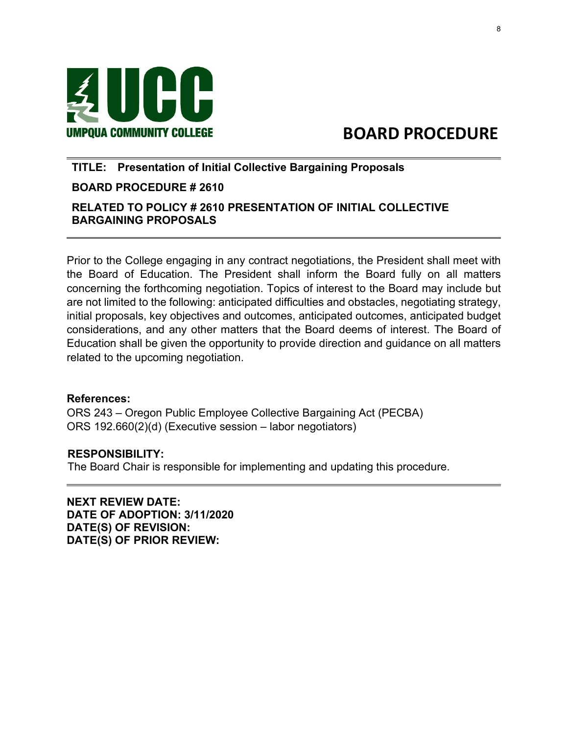

# UMPQUA COMMUNITY COLLEGE BOARD PROCEDURE

## **TITLE: Presentation of Initial Collective Bargaining Proposals**

# **BOARD PROCEDURE # 2610**

# **RELATED TO POLICY # 2610 PRESENTATION OF INITIAL COLLECTIVE BARGAINING PROPOSALS**

Prior to the College engaging in any contract negotiations, the President shall meet with the Board of Education. The President shall inform the Board fully on all matters concerning the forthcoming negotiation. Topics of interest to the Board may include but are not limited to the following: anticipated difficulties and obstacles, negotiating strategy, initial proposals, key objectives and outcomes, anticipated outcomes, anticipated budget considerations, and any other matters that the Board deems of interest. The Board of Education shall be given the opportunity to provide direction and guidance on all matters related to the upcoming negotiation.

#### **References:**

 $\overline{a}$ 

 $\overline{a}$ 

ORS 243 – Oregon Public Employee Collective Bargaining Act (PECBA) ORS 192.660(2)(d) (Executive session – labor negotiators)

## **RESPONSIBILITY:**

The Board Chair is responsible for implementing and updating this procedure.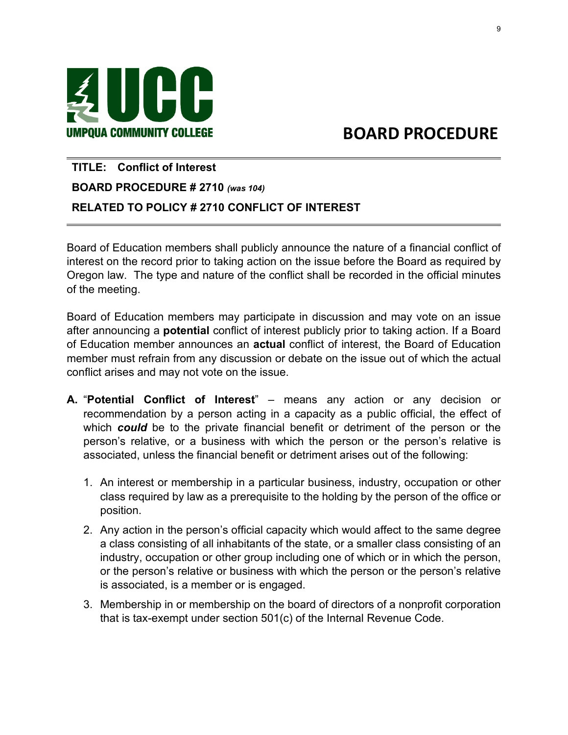

 $\overline{\phantom{0}}$ 

# UMPQUA COMMUNITY COLLEGE **A CONTACT BOARD PROCEDURE**

# **TITLE: Conflict of Interest BOARD PROCEDURE # 2710** *(was 104)* **RELATED TO POLICY # 2710 CONFLICT OF INTEREST**

Board of Education members shall publicly announce the nature of a financial conflict of interest on the record prior to taking action on the issue before the Board as required by Oregon law. The type and nature of the conflict shall be recorded in the official minutes of the meeting.

Board of Education members may participate in discussion and may vote on an issue after announcing a **potential** conflict of interest publicly prior to taking action. If a Board of Education member announces an **actual** conflict of interest, the Board of Education member must refrain from any discussion or debate on the issue out of which the actual conflict arises and may not vote on the issue.

- **A.** "**Potential Conflict of Interest**" means any action or any decision or recommendation by a person acting in a capacity as a public official, the effect of which *could* be to the private financial benefit or detriment of the person or the person's relative, or a business with which the person or the person's relative is associated, unless the financial benefit or detriment arises out of the following:
	- 1. An interest or membership in a particular business, industry, occupation or other class required by law as a prerequisite to the holding by the person of the office or position.
	- 2. Any action in the person's official capacity which would affect to the same degree a class consisting of all inhabitants of the state, or a smaller class consisting of an industry, occupation or other group including one of which or in which the person, or the person's relative or business with which the person or the person's relative is associated, is a member or is engaged.
	- 3. Membership in or membership on the board of directors of a nonprofit corporation that is tax-exempt under section 501(c) of the Internal Revenue Code.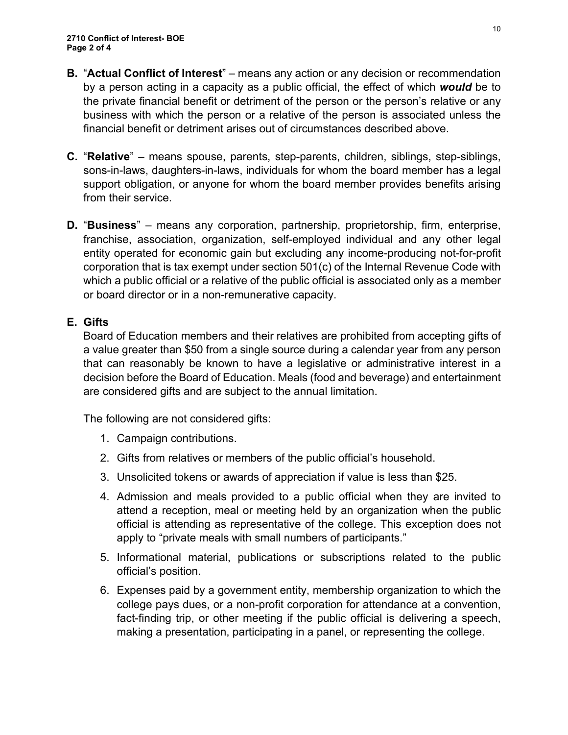- **B.** "**Actual Conflict of Interest**" means any action or any decision or recommendation by a person acting in a capacity as a public official, the effect of which *would* be to the private financial benefit or detriment of the person or the person's relative or any business with which the person or a relative of the person is associated unless the financial benefit or detriment arises out of circumstances described above.
- **C.** "**Relative**" means spouse, parents, step-parents, children, siblings, step-siblings, sons-in-laws, daughters-in-laws, individuals for whom the board member has a legal support obligation, or anyone for whom the board member provides benefits arising from their service.
- **D.** "**Business**" means any corporation, partnership, proprietorship, firm, enterprise, franchise, association, organization, self-employed individual and any other legal entity operated for economic gain but excluding any income-producing not-for-profit corporation that is tax exempt under section 501(c) of the Internal Revenue Code with which a public official or a relative of the public official is associated only as a member or board director or in a non-remunerative capacity.

# **E. Gifts**

Board of Education members and their relatives are prohibited from accepting gifts of a value greater than \$50 from a single source during a calendar year from any person that can reasonably be known to have a legislative or administrative interest in a decision before the Board of Education. Meals (food and beverage) and entertainment are considered gifts and are subject to the annual limitation.

The following are not considered gifts:

- 1. Campaign contributions.
- 2. Gifts from relatives or members of the public official's household.
- 3. Unsolicited tokens or awards of appreciation if value is less than \$25.
- 4. Admission and meals provided to a public official when they are invited to attend a reception, meal or meeting held by an organization when the public official is attending as representative of the college. This exception does not apply to "private meals with small numbers of participants."
- 5. Informational material, publications or subscriptions related to the public official's position.
- 6. Expenses paid by a government entity, membership organization to which the college pays dues, or a non-profit corporation for attendance at a convention, fact-finding trip, or other meeting if the public official is delivering a speech, making a presentation, participating in a panel, or representing the college.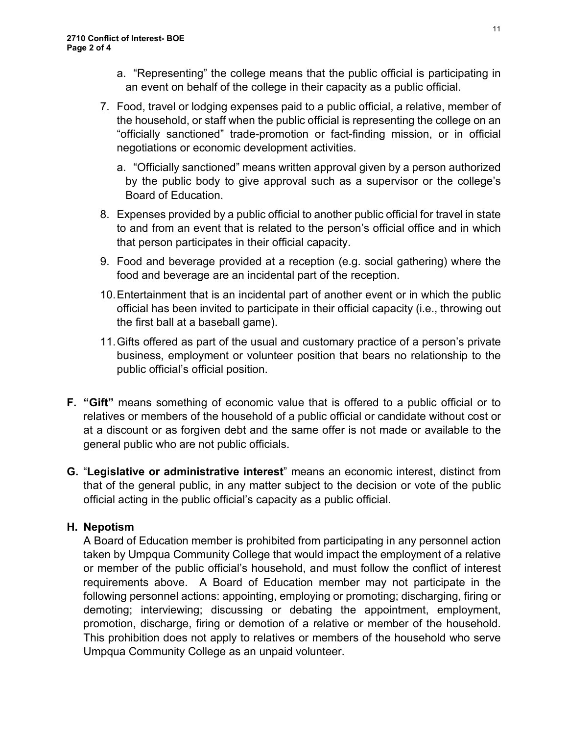- a. "Representing" the college means that the public official is participating in an event on behalf of the college in their capacity as a public official.
- 7. Food, travel or lodging expenses paid to a public official, a relative, member of the household, or staff when the public official is representing the college on an "officially sanctioned" trade-promotion or fact-finding mission, or in official negotiations or economic development activities.
	- a. "Officially sanctioned" means written approval given by a person authorized by the public body to give approval such as a supervisor or the college's Board of Education.
- 8. Expenses provided by a public official to another public official for travel in state to and from an event that is related to the person's official office and in which that person participates in their official capacity.
- 9. Food and beverage provided at a reception (e.g. social gathering) where the food and beverage are an incidental part of the reception.
- 10.Entertainment that is an incidental part of another event or in which the public official has been invited to participate in their official capacity (i.e., throwing out the first ball at a baseball game).
- 11.Gifts offered as part of the usual and customary practice of a person's private business, employment or volunteer position that bears no relationship to the public official's official position.
- **F. "Gift"** means something of economic value that is offered to a public official or to relatives or members of the household of a public official or candidate without cost or at a discount or as forgiven debt and the same offer is not made or available to the general public who are not public officials.
- **G.** "**Legislative or administrative interest**" means an economic interest, distinct from that of the general public, in any matter subject to the decision or vote of the public official acting in the public official's capacity as a public official.

# **H. Nepotism**

A Board of Education member is prohibited from participating in any personnel action taken by Umpqua Community College that would impact the employment of a relative or member of the public official's household, and must follow the conflict of interest requirements above. A Board of Education member may not participate in the following personnel actions: appointing, employing or promoting; discharging, firing or demoting; interviewing; discussing or debating the appointment, employment, promotion, discharge, firing or demotion of a relative or member of the household. This prohibition does not apply to relatives or members of the household who serve Umpqua Community College as an unpaid volunteer.